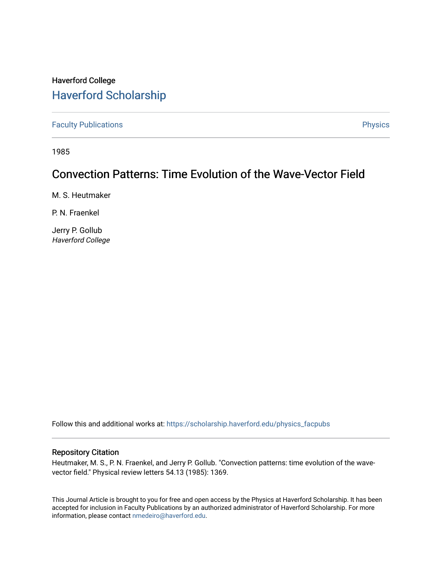## Haverford College [Haverford Scholarship](https://scholarship.haverford.edu/)

[Faculty Publications](https://scholarship.haverford.edu/physics_facpubs) **Physics** 

1985

## Convection Patterns: Time Evolution of the Wave-Vector Field

M. S. Heutmaker

P. N. Fraenkel

Jerry P. Gollub Haverford College

Follow this and additional works at: [https://scholarship.haverford.edu/physics\\_facpubs](https://scholarship.haverford.edu/physics_facpubs?utm_source=scholarship.haverford.edu%2Fphysics_facpubs%2F261&utm_medium=PDF&utm_campaign=PDFCoverPages) 

## Repository Citation

Heutmaker, M. S., P. N. Fraenkel, and Jerry P. Gollub. "Convection patterns: time evolution of the wavevector field." Physical review letters 54.13 (1985): 1369.

This Journal Article is brought to you for free and open access by the Physics at Haverford Scholarship. It has been accepted for inclusion in Faculty Publications by an authorized administrator of Haverford Scholarship. For more information, please contact [nmedeiro@haverford.edu.](mailto:nmedeiro@haverford.edu)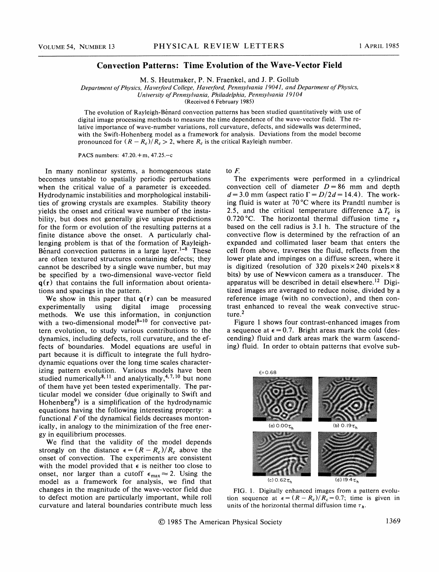## Convection Patterns: Time Evolution of the Wave-Vector Field

M. S. Heutmaker, P. N. Fraenkel, and J. P. Gollub

Department of Physics, Haverford College, Haverford, Pennsylvania 19041, and Department of Physics,

University ofPennsylvania, Philadelphia, Pennsylvania 19104

(Received 6 February 1985)

The evolution of Rayleigh-Benard convection patterns has been studied quantitatively with use of digital image processing methods to measure the time dependence of the wave-vector field. The relative importance of wave-number variations, roll curvature, defects, and sidewalls was determined, with the Swift-Hohenberg model as a framework for analysis. Deviations from the model become pronounced for  $(R - R_c)/R_c > 2$ , where  $R_c$  is the critical Rayleigh number.

PACS numbers: 47.20.+m, 47.25.—<sup>c</sup>

In many nonlinear systems, a homogeneous state becomes unstable to spatially periodic perturbations when the critical value of a parameter is exceeded. Hydrodynamic instabilities and morphological instabilities of growing crystals are examples. Stability theory yields the onset and critical wave number of the instability, but does not generally give unique predictions for the form or evolution of the resulting patterns at a finite distance above the onset. A particularly challenging problem is that of the formation of Rayleigh-Bénard convection patterns in a large layer.<sup>1-8</sup> These are often textured structures containing defects; they cannot be described by a single wave number, but may be specified by a two-dimensional wave-vector field  $q(r)$  that contains the full information about orientations and spacings in the pattern.

We show in this paper that  $q(r)$  can be measured experimentally using digital image processing methods. We use this information, in conjunction with a two-dimensional model $8-10$  for convective pattern evolution, to study various contributions to the dynamics, including defects, roll curvature, and the effects of boundaries. Model equations are useful in part because it is difficult to integrate the full hydrodynamic equations over the long time scales characterizing pattern evolution. Various models have been 'izing pattern evolution. Various models have been<br>studied numerically<sup>8,11</sup> and analytically,<sup>4,7,10</sup> but none of them have yet been tested experimentally. The particular model we consider (due originally to Swift and Hohenberg<sup>9</sup>) is a simplification of the hydrodynamic equations having the following interesting property: a functional Fof the dynamical fields decreases montonically, in analogy to the minimization of the free energy in equilibrium processes.

We find that the validity of the model depends strongly on the distance  $\epsilon = (R - R_c)/R_c$  above the onset of convection. The experiments are consistent with the model provided that  $\epsilon$  is neither too close to onset, nor larger than a cutoff  $\epsilon_{\text{max}} \approx 2$ . Using the model as a framework for analysis, we find that changes in the magnitude of the wave-vector field due to defect motion are particularly important, while roll curvature and lateral boundaries contribute much less to  $F$ .

The experiments were performed in a cylindrical convection cell of diameter  $D = 86$  mm and depth  $d = 3.0$  mm (aspect ratio  $\Gamma = D/2d = 14.4$ ). The working fluid is water at 70'C where its Prandtl number is 2.5, and the critical temperature difference  $\Delta T_c$  is 0.720 °C. The horizontal thermal diffusion time  $\tau_h$ based on the cell radius is 3.<sup>1</sup> h. The structure of the convective flow is determined by the refraction of an expanded and collimated laser beam that enters the cell from above, traverses the fluid, reflects from the lower plate and impinges on a diffuse screen, where it is digitized (resolution of 320 pixels  $\times$  240 pixels  $\times$  8 bits) by use of Newvicon camera as a transducer. The apparatus will be described in detail elsewhere.<sup>12</sup> Digitized images are averaged to reduce noise, divided by a reference image (with no convection), and then contrast enhanced to reveal the weak convective structure.<sup>2</sup>

Figure <sup>1</sup> shows four contrast-enhanced images from a sequence at  $\epsilon = 0.7$ . Bright areas mark the cold (descending) fluid and dark areas mark the warm (ascending) fluid. In order to obtain patterns that evolve sub-



FIG. 1. Digitally enhanced images from a pattern evolution sequence at  $\epsilon = (R - R_c)/R_c = 0.7$ ; time is given in units of the horizontal thermal diffusion time  $\tau_h$ .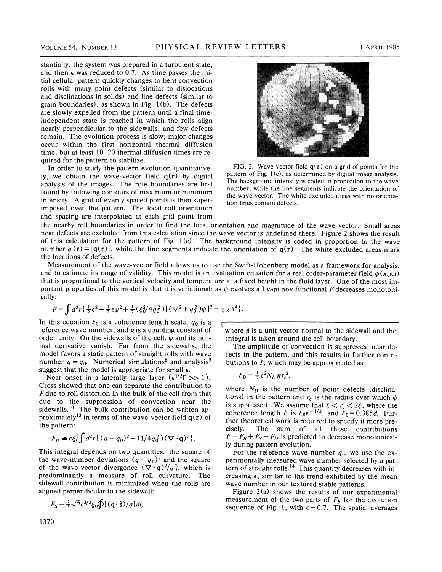stantially, the system was prepared in a turbulent state, and then  $\epsilon$  was reduced to 0.7. As time passes the initial cellular pattern quickly changes to bent convection rolls with many point defects (similar to dislocations and disclinations in solids) and line defects (similar to grain boundaries), as shown in Fig.  $1(b)$ . The defects are slowly expelled from the pattern until a final timeindependent state is reached in which the rolls align nearly perpendicular to the sidewalls, and few defects remain. The evolution process is slow; major changes occur within the first horizontal thermal diffusion time, but at least 10—20 thermal diffusion times are required for the pattern to stabilize.

Iy, we obtain the wave-vector field  $q(r)$  by digital pattern of Fig. 1(c), as determined by digital image analysis.<br>
analysis of the images. The rale houndaries are first. The background intensity is coded in proportion t The background intensity is coded in proportion to the wave<br>found by following contours of maximum or minimum<br>the wave vector. The white excluded areas with no orienta-<br>the wave vector. The white excluded areas with no ori intensity. A grid of evenly spaced points is then superimposed over the pattern. The local roll orientation and spacing are interpolated at each grid point from



In order to study the pattern evolution quantitative-<br>
FIG. 2. Wave-vector field  $q(r)$  on a grid of points for the tion lines contain defects.

the nearby roll boundaries in order to find the local orientation and magnitude of the wave vector. Small areas near defects are excluded from this calculation since the wave vector is undefined there. Figure 2 shows the result of this calculation for the pattern of Fig.  $1(c)$ . The background intensity is coded in proportion to the wave number  $q(r) = |q(r)|$ , while the line segments indicate the orientation of  $q(r)$ . The white excluded areas mark the locations of defects.

Measurement of the wave-vector field allows us to use the Swift-Hohenberg model as a framework for analysis, and to estimate its range of validity. This model is an evaluation equation for a real order-parameter field  $\psi(x,y,t)$ that is proportional to the vertical velocity and temperature at a fixed height in the fluid layer. One of the most important properties of this model is that it is variational; as  $\psi$  evolves a Lyapunov functional F decreases monotonically:

$$
F = \int d^2 r \left\{ \frac{1}{2} \epsilon^2 - \frac{1}{2} \epsilon \psi^2 + \frac{1}{2} (\xi_0^2 / 4 q_0^2) \left[ (\nabla^2 + q_0^2) \psi \right]^2 + \frac{1}{4} g \psi^4 \right\}.
$$

In this equation  $\xi_0$  is a coherence length scale,  $q_0$  is a reference wave number, and  $g$  is a coupling constant of order unity. On the sidewalls of the cell,  $\psi$  and its normal derivative vanish. Far from the sidewalls, the model favors a static pattern of straight rolls with wave number  $q = q_0$ . Numerical simulations<sup>8</sup> and analysis<sup>9</sup> suggest that the model is appropriate for small  $\epsilon$ .

Near onset in a laterally large layer  $(\epsilon^{1/2} \Gamma >> 1)$ , Cross showed that one can separate the contribution to  $F$  due to roll distortion in the bulk of the cell from that due to the suppression of convection near the sidewalls.<sup>10</sup> The bulk contribution can be written approximately<sup>13</sup> in terms of the wave-vector field  $q(r)$  of the pattern:

$$
F_B \cong \epsilon \xi_0^2 \int d^2 r \{ (q - q_0)^2 + (1/4q_0^2) (\nabla \cdot \mathbf{q})^2 \}.
$$

This integral depends on two quantities: the square of the wave-number deviations  $(q - q_0)^2$  and the square of the wave-vector divergence  $(\nabla \cdot \mathbf{q})^2 / q_0^2$ , which is predominantly a measure of roll curvature. The sidewall contribution is minimized when the rolls are aligned perpendicular to the sidewall:

$$
F_S = \frac{2}{3}\sqrt{2}\epsilon^{3/2}\xi_0\oint [(\mathbf{q}\cdot\hat{\mathbf{s}})/q]dl
$$

where  $\hat{s}$  is a unit vector normal to the sidewall and the integral is taken around the cell boundary.

The amplitude of convection is suppressed near defects in the pattern, and this results in further contributions to  $F$ , which may be approximated as

$$
F_D = \frac{1}{2} \epsilon^2 N_D \pi r_c^2,
$$

where  $N_D$  is the number of point defects (disclinations) in the pattern and  $r_c$  is the radius over which  $\psi$ is suppressed. We assume that  $\xi < r_c < 2\xi$ , where the coherence length  $\xi$  is  $\xi_0 \epsilon^{-1/2}$ , and  $\xi_0 = 0.385d$ . Further theoretical work is required to specify it more pre-<br>cisely. The sum of all these contributions The sum of all these contributions  $F = F_B + F_S + F_D$  is predicted to decrease monotonically during pattern evolution.

For the reference wave number  $q_0$ , we use the experimentally measured wave number selected by a pattern of straight rolls.<sup>14</sup> This quantity decreases with increasing  $\epsilon$ , similar to the trend exhibited by the mean wave number in our textured stable patterns.

Figure  $3(a)$  shows the results of our experimental measurement of the two parts of  $F_B$  for the evolution sequence of Fig. 1, with  $\epsilon = 0.7$ . The spatial averages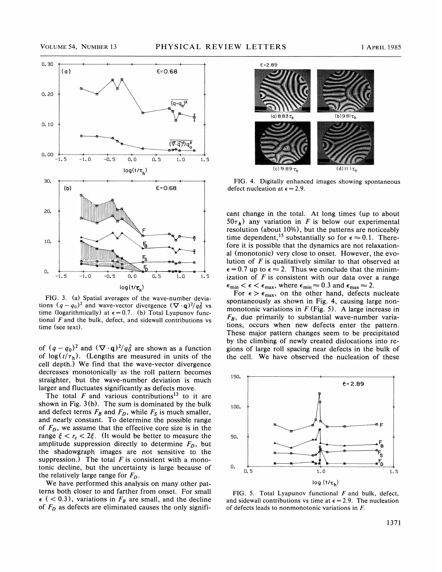

FIG. 3. (a) Spatial averages of the wave-number deviations  $(q - q_0)^2$  and wave-vector divergence  $(\nabla \cdot \mathbf{q})^2 / q_0^2$  vs time (logarithmically) at  $\epsilon = 0.7$ . (b) Total Lyapunov functional  $F$  and the bulk, defect, and sidewall contributions vs time (see text).

of  $(q - q_0)^2$  and  $(\nabla \cdot \mathbf{q})^2/q_0^2$  are shown as a function of  $log(t/\tau_h)$ . (Lengths are measured in units of the cell depth. ) We find that the wave-vector divergence decreases monotonically as the roll pattern becomes straighter, but the wave-number deviation is much larger and fluctuates significantly as defects move.

The total  $F$  and various contributions<sup>13</sup> to it are shown in Fig. 3(b). The sum is dominated by the bulk and defect terms  $F_B$  and  $F_D$ , while  $F_S$  is much smaller, and nearly constant. To determine the possible range of  $F<sub>D</sub>$ , we assume that the effective core size is in the range  $\xi < r_c < 2\xi$ . (It would be better to measure the amplitude suppression directly to determine  $F<sub>D</sub>$ , but the shadowgraph images are not sensitive to the suppression.) The total  $F$  is consistent with a monotonic decline, but the uncertainty is large because of the relatively large range for  $F<sub>D</sub>$ .

We have performed this analysis on many other patterns both closer to and farther from onset. For small  $\epsilon$  ( < 0.3), variations in  $F_B$  are small, and the decline of  $F_D$  as defects are eliminated causes the only signifi-



FIG. 4. Digitally enhanced images showing spontaneous defect nucleation at  $\epsilon = 2.9$ .

cant change in the total. At long times (up to about  $50\tau_h$ ) any variation in F is below our experimental resolution (about 10%), but the patterns are noticeably the dependent, <sup>15</sup> substantially so for  $\epsilon \approx 0.1$ . Therefore it is possible that the dynamics are not relaxational (monotonic) very close to onset. However, the evolution of  $F$  is qualitatively similar to that observed at  $\epsilon = 0.7$  up to  $\epsilon \approx 2$ . Thus we conclude that the minimization of  $F$  is consistent with our data over a range Figure 1 is consistent with our data over a<br>  $n \le \epsilon \le \epsilon_{\text{max}}$ , where  $\epsilon_{\text{min}} \approx 0.3$  and  $\epsilon_{\text{max}} \approx 2$ .

 $\frac{F_0}{F_0} < \epsilon < \epsilon_{\text{max}}$ , where  $\epsilon_{\text{min}} \approx 0.3$  and  $\epsilon_{\text{max}} \approx 2$ .<br>For  $\epsilon > \epsilon_{\text{max}}$ , on the other hand, defects nucleate spontaneously as shown in Fig. 4, causing large nonmonotonic variations in  $F$  (Fig. 5). A large increase in  $F_{\rm B}$ , due primarily to substantial wave-number variations, occurs when new defects enter the pattern. These major pattern changes seem to be precipitated by the climbing of newly created dislocations into regions of large roll spacing near defects in the bulk of the cell. We have observed the nucleation of these



FIG. 5. Total Lyapunov functional  $F$  and bulk, defect, and sidewall contributions vs time at  $\epsilon = 2.9$ . The nucleation of defects leads to nonmonotonic variations in F.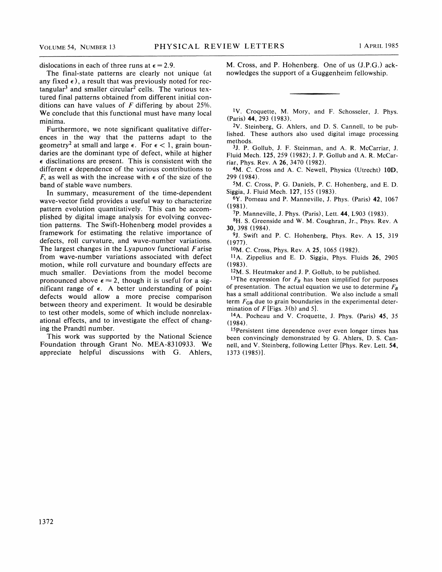dislocations in each of three runs at  $\epsilon = 2.9$ .

The final-state patterns are clearly not unique (at any fixed  $\epsilon$ ), a result that was previously noted for rectangular<sup>3</sup> and smaller circular<sup>2</sup> cells. The various textured final patterns obtained from different initial conditions can have values of  $F$  differing by about 25%. We conclude that this functional must have many local minima.

Furthermore, we note significant qualitative differences in the way that the patterns adapt to the geometry<sup>2</sup> at small and large  $\epsilon$ . For  $\epsilon$  < 1, grain boundaries are the dominant type of defect, while at higher  $\epsilon$  disclinations are present. This is consistent with the different  $\epsilon$  dependence of the various contributions to F, as well as with the increase with  $\epsilon$  of the size of the band of stable wave numbers.

In summary, measurement of the time-dependent wave-vector field provides a useful way to characterize pattern evolution quantitatively. This can be accomplished by digital image analysis for evolving convection patterns. The Swift-Hohenberg model provides a framework for estimating the relative importance of defects, roll curvature, and wave-number variations. The largest changes in the Lyapunov functional  $F$  arise from wave-number variations associated with defect motion, while roll curvature and boundary effects are much smaller. Deviations from the model become pronounced above  $\epsilon \approx 2$ , though it is useful for a significant range of  $\epsilon$ . A better understanding of point defects would allow a more precise comparison between theory and experiment. It would be desirable to test other models, some of which include nonrelaxational effects, and to investigate the effect of changing the Prandtl number.

This work was supported by the National Science Foundation through Grant No. MEA-8310933. We appreciate helpful discussions with G. Ahlers, M. Cross, and P. Hohenberg. One of us (J.P.G.) acknowledges the support of a Guggenheim fellowship.

<sup>1</sup>V. Croquette, M. Mory, and F. Schosseler, J. Phys. (Paris) 44, 293 (1983).

V. Steinberg, G. Ahlers, and D. S. Cannell, to be published. These authors also used digital image processing methods.

3J. P. Gollub, J. F. Steinman, and A, R. McCarriar, J. Fluid Mech. 125, 259 (1982); J. P. Gollub and A. R. McCarriar, Phys. Rev. A 26, 3470 (1982).

4M. C. Cross and A. C. Newell, Physica (Utrecht) 10D, 299 (1984).

5M. C. Cross, P. G. Daniels, P. C. Hohenberg, and E. D. Siggia, J. Fluid Mech. 127, 155 (1983).

6Y. Pomeau and P. Manneville, J. Phys. (Paris) 42, 1067 (1981).

7P. Manneville, J. Phys. (Paris), Lett. 44, L903 (1983).

8H. S. Greenside and W. M. Coughran, Jr., Phys. Rev. A

30, 398 (1984). 9J. Swift and P. C. Hohenberg, Phys. Rev. A 15, 319 (1977).

<sup>10</sup>M. C. Cross, Phys. Rev. A **25**, 1065 (1982).

 $^{11}$ A. Zippelius and E. D. Siggia, Phys. Fluids 26, 2905 (1983).

 $12M$ . S. Heutmaker and J. P. Gollub, to be published.

<sup>13</sup>The expression for  $F_B$  has been simplified for purposes of presentation. The actual equation we use to determine  $F_B$ has a small additional contribution. We also include a small term  $F_{GB}$  due to grain boundaries in the experimental determination of  $F$  [Figs. 3(b) and 5].

<sup>14</sup>A. Pocheau and V. Croquette, J. Phys. (Paris) 45, 35 (1984).

 $15$ Persistent time dependence over even longer times has been convincingly demonstrated by G. Ahlers, D. S. Cannell, and V. Steinberg, following Letter [Phys. Rev. Lett. 54, 1373 (1985)].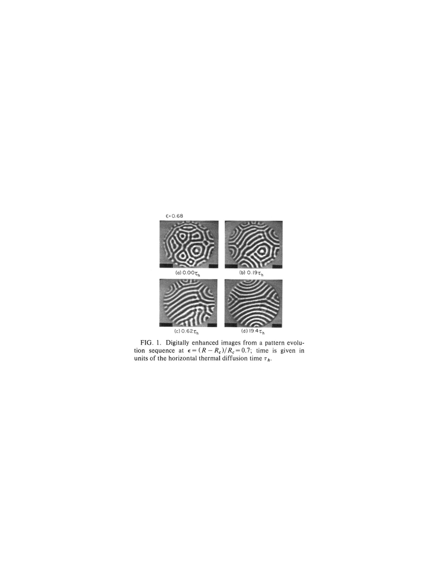

FIG. 1. Digitally enhanced images from a pattern evolution sequence at  $\epsilon = (R - R_c)/R_c = 0.7$ ; time is given in units of the horizontal thermal diffusion time  $\tau_h$ .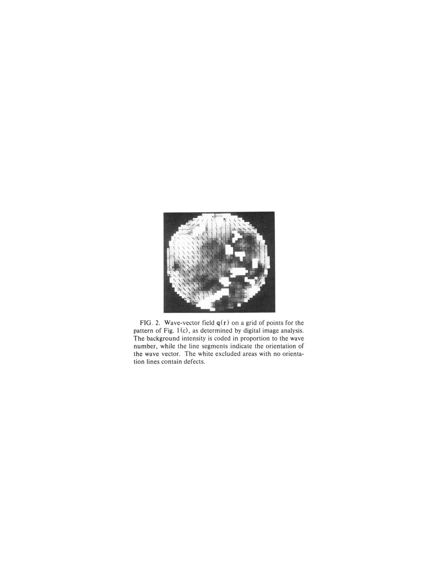

FIG. 2. Wave-vector field  $q(r)$  on a grid of points for the pattern of Fig. 1(c), as determined by digital image analysis. The background intensity is coded in proportion to the wave number, while the line segments indicate the orientation of the wave vector. The white excluded areas with no orientation lines contain defects.